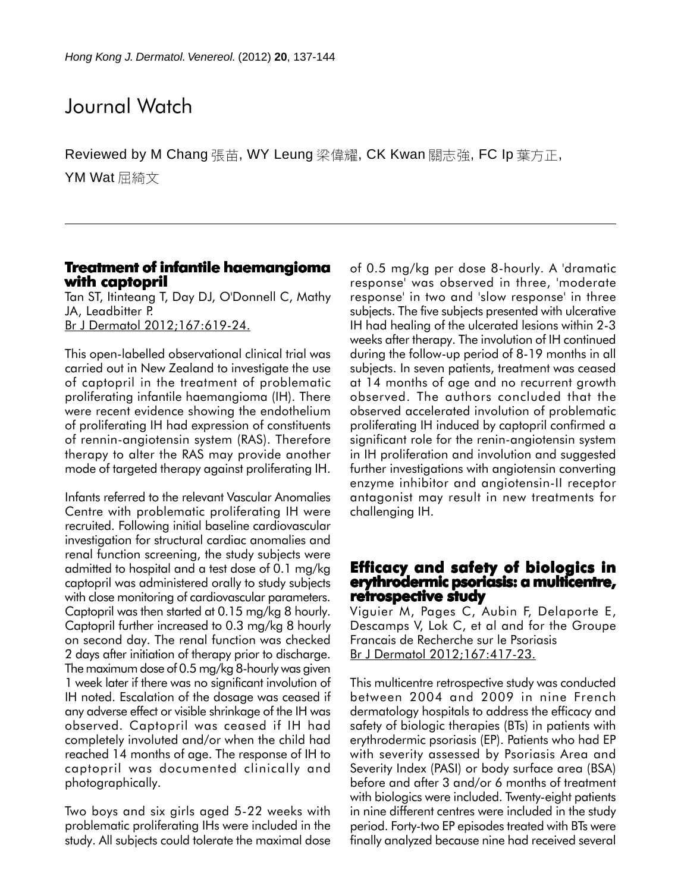# Journal Watch

Reviewed by M Chang 張苗, WY Leung 梁偉耀, CK Kwan 關志強, FC Ip 葉方正, YM Wat 屈綺文

## **Treatment of infantile haemangioma with captopril with captopril**

Tan ST, Itinteang T, Day DJ, O'Donnell C, Mathy JA, Leadbitter P. Br J Dermatol 2012;167:619-24.

This open-labelled observational clinical trial was carried out in New Zealand to investigate the use of captopril in the treatment of problematic proliferating infantile haemangioma (IH). There were recent evidence showing the endothelium of proliferating IH had expression of constituents of rennin-angiotensin system (RAS). Therefore therapy to alter the RAS may provide another mode of targeted therapy against proliferating IH.

Infants referred to the relevant Vascular Anomalies Centre with problematic proliferating IH were recruited. Following initial baseline cardiovascular investigation for structural cardiac anomalies and renal function screening, the study subjects were admitted to hospital and a test dose of 0.1 mg/kg captopril was administered orally to study subjects with close monitoring of cardiovascular parameters. Captopril was then started at 0.15 mg/kg 8 hourly. Captopril further increased to 0.3 mg/kg 8 hourly on second day. The renal function was checked 2 days after initiation of therapy prior to discharge. The maximum dose of 0.5 mg/kg 8-hourly was given 1 week later if there was no significant involution of IH noted. Escalation of the dosage was ceased if any adverse effect or visible shrinkage of the IH was observed. Captopril was ceased if IH had completely involuted and/or when the child had reached 14 months of age. The response of IH to captopril was documented clinically and photographically.

Two boys and six girls aged 5-22 weeks with problematic proliferating IHs were included in the study. All subjects could tolerate the maximal dose of 0.5 mg/kg per dose 8-hourly. A 'dramatic response' was observed in three, 'moderate response' in two and 'slow response' in three subjects. The five subjects presented with ulcerative IH had healing of the ulcerated lesions within 2-3 weeks after therapy. The involution of IH continued during the follow-up period of 8-19 months in all subjects. In seven patients, treatment was ceased at 14 months of age and no recurrent growth observed. The authors concluded that the observed accelerated involution of problematic proliferating IH induced by captopril confirmed a significant role for the renin-angiotensin system in IH proliferation and involution and suggested further investigations with angiotensin converting enzyme inhibitor and angiotensin-II receptor antagonist may result in new treatments for challenging IH.

#### **Efficacy and safety of biologics in erythrodermic psoriasis: a multicentre, psoriasis: multicentre, retrospective study**

Viguier M, Pages C, Aubin F, Delaporte E, Descamps V, Lok C, et al and for the Groupe Francais de Recherche sur le Psoriasis Br J Dermatol 2012;167:417-23.

This multicentre retrospective study was conducted between 2004 and 2009 in nine French dermatology hospitals to address the efficacy and safety of biologic therapies (BTs) in patients with erythrodermic psoriasis (EP). Patients who had EP with severity assessed by Psoriasis Area and Severity Index (PASI) or body surface area (BSA) before and after 3 and/or 6 months of treatment with biologics were included. Twenty-eight patients in nine different centres were included in the study period. Forty-two EP episodes treated with BTs were finally analyzed because nine had received several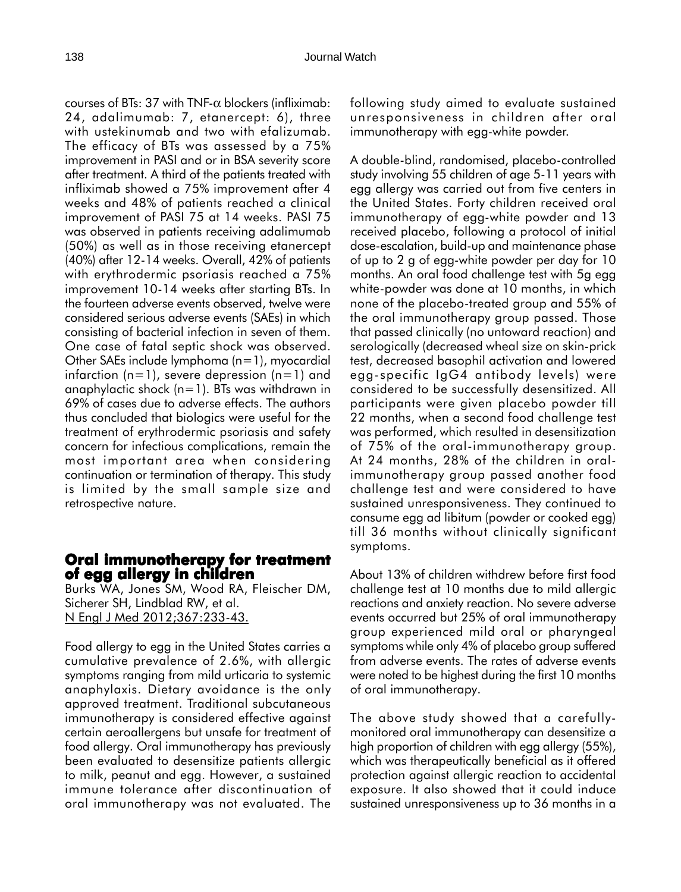courses of BTs: 37 with TNF- $\alpha$  blockers (infliximab: 24, adalimumab: 7, etanercept: 6), three with ustekinumab and two with efalizumab. The efficacy of BTs was assessed by a 75% improvement in PASI and or in BSA severity score after treatment. A third of the patients treated with infliximab showed a 75% improvement after 4 weeks and 48% of patients reached a clinical improvement of PASI 75 at 14 weeks. PASI 75 was observed in patients receiving adalimumab (50%) as well as in those receiving etanercept (40%) after 12-14 weeks. Overall, 42% of patients with erythrodermic psoriasis reached a 75% improvement 10-14 weeks after starting BTs. In the fourteen adverse events observed, twelve were considered serious adverse events (SAEs) in which consisting of bacterial infection in seven of them. One case of fatal septic shock was observed. Other SAEs include lymphoma (n=1), myocardial infarction  $(n=1)$ , severe depression  $(n=1)$  and anaphylactic shock (n=1). BTs was withdrawn in 69% of cases due to adverse effects. The authors thus concluded that biologics were useful for the treatment of erythrodermic psoriasis and safety concern for infectious complications, remain the most important area when considering continuation or termination of therapy. This study is limited by the small sample size and retrospective nature.

## **Oral immunotherapy for treatment Oral immunotherapy for of egg allergy in children**

Burks WA, Jones SM, Wood RA, Fleischer DM, Sicherer SH, Lindblad RW, et al. N Engl J Med 2012;367:233-43.

Food allergy to egg in the United States carries a cumulative prevalence of 2.6%, with allergic symptoms ranging from mild urticaria to systemic anaphylaxis. Dietary avoidance is the only approved treatment. Traditional subcutaneous immunotherapy is considered effective against certain aeroallergens but unsafe for treatment of food allergy. Oral immunotherapy has previously been evaluated to desensitize patients allergic to milk, peanut and egg. However, a sustained immune tolerance after discontinuation of oral immunotherapy was not evaluated. The

following study aimed to evaluate sustained unresponsiveness in children after oral immunotherapy with egg-white powder.

A double-blind, randomised, placebo-controlled study involving 55 children of age 5-11 years with egg allergy was carried out from five centers in the United States. Forty children received oral immunotherapy of egg-white powder and 13 received placebo, following a protocol of initial dose-escalation, build-up and maintenance phase of up to 2 g of egg-white powder per day for 10 months. An oral food challenge test with 5g egg white-powder was done at 10 months, in which none of the placebo-treated group and 55% of the oral immunotherapy group passed. Those that passed clinically (no untoward reaction) and serologically (decreased wheal size on skin-prick test, decreased basophil activation and lowered egg-specific IgG4 antibody levels) were considered to be successfully desensitized. All participants were given placebo powder till 22 months, when a second food challenge test was performed, which resulted in desensitization of 75% of the oral-immunotherapy group. At 24 months, 28% of the children in oralimmunotherapy group passed another food challenge test and were considered to have sustained unresponsiveness. They continued to consume egg ad libitum (powder or cooked egg) till 36 months without clinically significant symptoms.

About 13% of children withdrew before first food challenge test at 10 months due to mild allergic reactions and anxiety reaction. No severe adverse events occurred but 25% of oral immunotherapy group experienced mild oral or pharyngeal symptoms while only 4% of placebo group suffered from adverse events. The rates of adverse events were noted to be highest during the first 10 months of oral immunotherapy.

The above study showed that a carefullymonitored oral immunotherapy can desensitize a high proportion of children with egg allergy (55%), which was therapeutically beneficial as it offered protection against allergic reaction to accidental exposure. It also showed that it could induce sustained unresponsiveness up to 36 months in a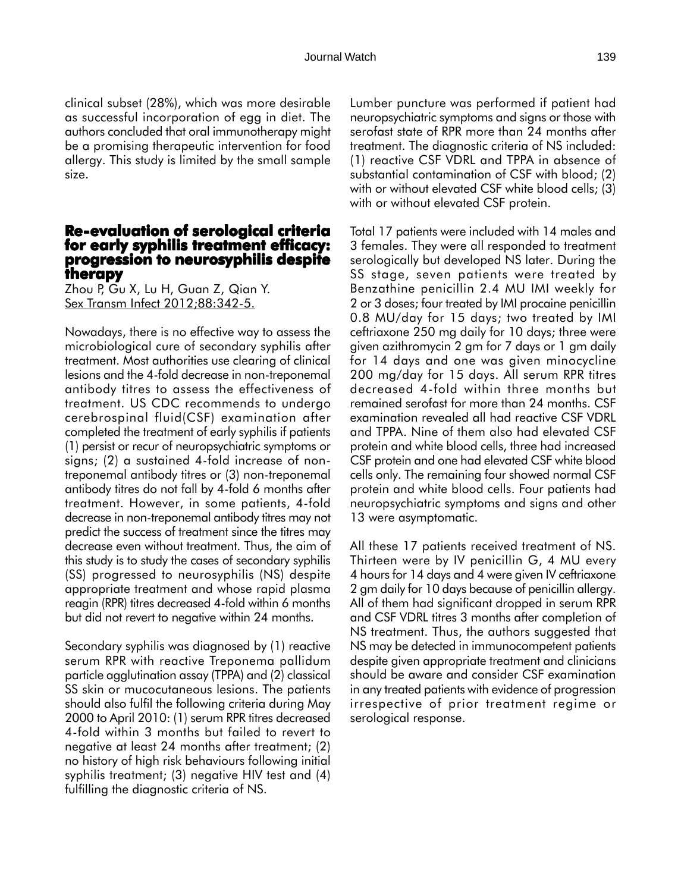clinical subset (28%), which was more desirable as successful incorporation of egg in diet. The authors concluded that oral immunotherapy might be a promising therapeutic intervention for food allergy. This study is limited by the small sample size.

# **Re-evaluation of serological criteria for early syphilis treatment efficacy: for syphilis treatment efficacy: progression to neurosyphilis despite therapy**

Zhou P, Gu X, Lu H, Guan Z, Qian Y. Sex Transm Infect 2012;88:342-5.

Nowadays, there is no effective way to assess the microbiological cure of secondary syphilis after treatment. Most authorities use clearing of clinical lesions and the 4-fold decrease in non-treponemal antibody titres to assess the effectiveness of treatment. US CDC recommends to undergo cerebrospinal fluid(CSF) examination after completed the treatment of early syphilis if patients (1) persist or recur of neuropsychiatric symptoms or signs; (2) a sustained 4-fold increase of nontreponemal antibody titres or (3) non-treponemal antibody titres do not fall by 4-fold 6 months after treatment. However, in some patients, 4-fold decrease in non-treponemal antibody titres may not predict the success of treatment since the titres may decrease even without treatment. Thus, the aim of this study is to study the cases of secondary syphilis (SS) progressed to neurosyphilis (NS) despite appropriate treatment and whose rapid plasma reagin (RPR) titres decreased 4-fold within 6 months but did not revert to negative within 24 months.

Secondary syphilis was diagnosed by (1) reactive serum RPR with reactive Treponema pallidum particle agglutination assay (TPPA) and (2) classical SS skin or mucocutaneous lesions. The patients should also fulfil the following criteria during May 2000 to April 2010: (1) serum RPR titres decreased 4-fold within 3 months but failed to revert to negative at least 24 months after treatment; (2) no history of high risk behaviours following initial syphilis treatment; (3) negative HIV test and (4) fulfilling the diagnostic criteria of NS.

Lumber puncture was performed if patient had neuropsychiatric symptoms and signs or those with serofast state of RPR more than 24 months after treatment. The diagnostic criteria of NS included: (1) reactive CSF VDRL and TPPA in absence of substantial contamination of CSF with blood; (2) with or without elevated CSF white blood cells; (3) with or without elevated CSF protein.

Total 17 patients were included with 14 males and 3 females. They were all responded to treatment serologically but developed NS later. During the SS stage, seven patients were treated by Benzathine penicillin 2.4 MU IMI weekly for 2 or 3 doses; four treated by IMI procaine penicillin 0.8 MU/day for 15 days; two treated by IMI ceftriaxone 250 mg daily for 10 days; three were given azithromycin 2 gm for 7 days or 1 gm daily for 14 days and one was given minocycline 200 mg/day for 15 days. All serum RPR titres decreased 4-fold within three months but remained serofast for more than 24 months. CSF examination revealed all had reactive CSF VDRL and TPPA. Nine of them also had elevated CSF protein and white blood cells, three had increased CSF protein and one had elevated CSF white blood cells only. The remaining four showed normal CSF protein and white blood cells. Four patients had neuropsychiatric symptoms and signs and other 13 were asymptomatic.

All these 17 patients received treatment of NS. Thirteen were by IV penicillin G, 4 MU every 4 hours for 14 days and 4 were given IV ceftriaxone 2 gm daily for 10 days because of penicillin allergy. All of them had significant dropped in serum RPR and CSF VDRL titres 3 months after completion of NS treatment. Thus, the authors suggested that NS may be detected in immunocompetent patients despite given appropriate treatment and clinicians should be aware and consider CSF examination in any treated patients with evidence of progression irrespective of prior treatment regime or serological response.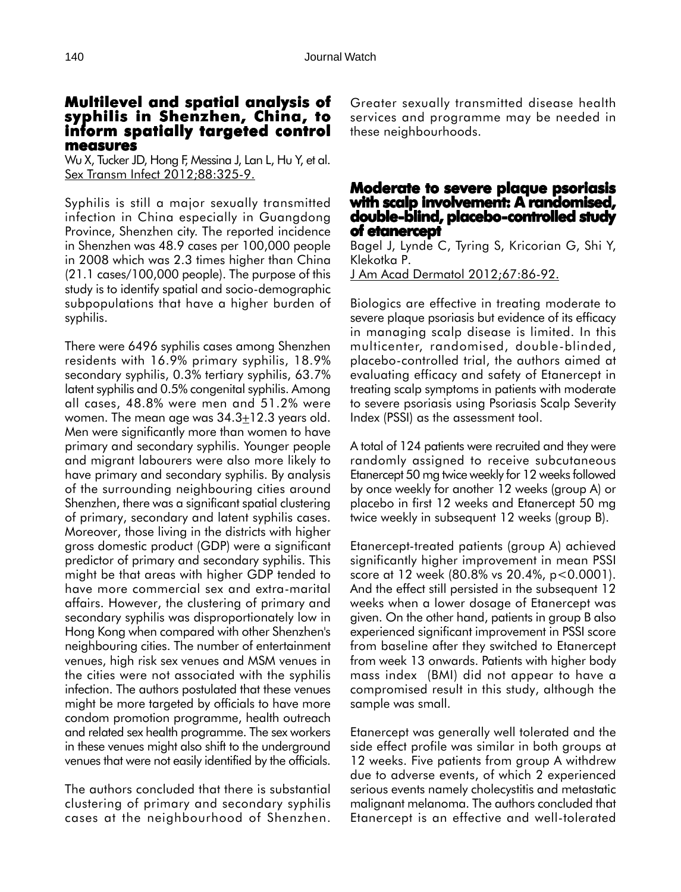#### **Multilevel and spatial analysis of spatial analysis syphilis in Shenzhen, China, to inform spatially targeted control targeted measures**

Wu X, Tucker JD, Hong F, Messina J, Lan L, Hu Y, et al. Sex Transm Infect 2012;88:325-9.

Syphilis is still a major sexually transmitted infection in China especially in Guangdong Province, Shenzhen city. The reported incidence in Shenzhen was 48.9 cases per 100,000 people in 2008 which was 2.3 times higher than China (21.1 cases/100,000 people). The purpose of this study is to identify spatial and socio-demographic subpopulations that have a higher burden of syphilis.

There were 6496 syphilis cases among Shenzhen residents with 16.9% primary syphilis, 18.9% secondary syphilis, 0.3% tertiary syphilis, 63.7% latent syphilis and 0.5% congenital syphilis. Among all cases, 48.8% were men and 51.2% were women. The mean age was  $34.3 \pm 12.3$  years old. Men were significantly more than women to have primary and secondary syphilis. Younger people and migrant labourers were also more likely to have primary and secondary syphilis. By analysis of the surrounding neighbouring cities around Shenzhen, there was a significant spatial clustering of primary, secondary and latent syphilis cases. Moreover, those living in the districts with higher gross domestic product (GDP) were a significant predictor of primary and secondary syphilis. This might be that areas with higher GDP tended to have more commercial sex and extra-marital affairs. However, the clustering of primary and secondary syphilis was disproportionately low in Hong Kong when compared with other Shenzhen's neighbouring cities. The number of entertainment venues, high risk sex venues and MSM venues in the cities were not associated with the syphilis infection. The authors postulated that these venues might be more targeted by officials to have more condom promotion programme, health outreach and related sex health programme. The sex workers in these venues might also shift to the underground venues that were not easily identified by the officials.

The authors concluded that there is substantial clustering of primary and secondary syphilis cases at the neighbourhood of Shenzhen. Greater sexually transmitted disease health services and programme may be needed in these neighbourhoods.

# **Moderate to severe plaque psoriasis with scalp involvement: A randomised, with involvement: A randomised, double-blind, placebo-controlled study of etanercept of**

Bagel J, Lynde C, Tyring S, Kricorian G, Shi Y, Klekotka P. J Am Acad Dermatol 2012;67:86-92.

Biologics are effective in treating moderate to severe plaque psoriasis but evidence of its efficacy in managing scalp disease is limited. In this multicenter, randomised, double-blinded, placebo-controlled trial, the authors aimed at evaluating efficacy and safety of Etanercept in treating scalp symptoms in patients with moderate to severe psoriasis using Psoriasis Scalp Severity Index (PSSI) as the assessment tool.

A total of 124 patients were recruited and they were randomly assigned to receive subcutaneous Etanercept 50 mg twice weekly for 12 weeks followed by once weekly for another 12 weeks (group A) or placebo in first 12 weeks and Etanercept 50 mg twice weekly in subsequent 12 weeks (group B).

Etanercept-treated patients (group A) achieved significantly higher improvement in mean PSSI score at 12 week (80.8% vs 20.4%, p<0.0001). And the effect still persisted in the subsequent 12 weeks when a lower dosage of Etanercept was given. On the other hand, patients in group B also experienced significant improvement in PSSI score from baseline after they switched to Etanercept from week 13 onwards. Patients with higher body mass index (BMI) did not appear to have a compromised result in this study, although the sample was small.

Etanercept was generally well tolerated and the side effect profile was similar in both groups at 12 weeks. Five patients from group A withdrew due to adverse events, of which 2 experienced serious events namely cholecystitis and metastatic malignant melanoma. The authors concluded that Etanercept is an effective and well-tolerated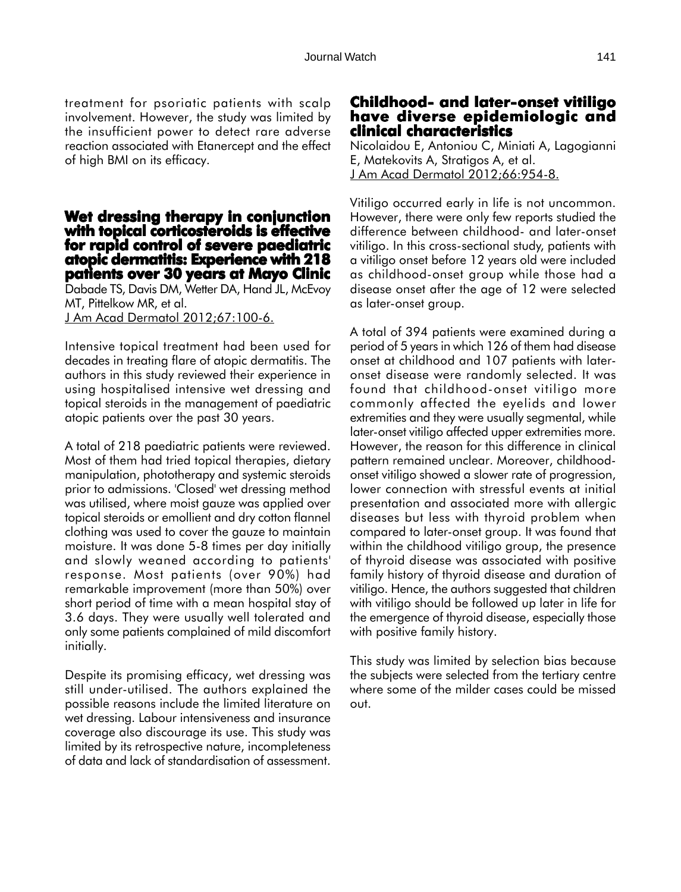treatment for psoriatic patients with scalp involvement. However, the study was limited by the insufficient power to detect rare adverse reaction associated with Etanercept and the effect of high BMI on its efficacy.

#### **Wet dressing therapy in conjunction with topical corticosteroids is effective for rapid control of severe paediatric atopic dermatitis: Experience with 218 patients over 30 years at Mayo Clinic**

Dabade TS, Davis DM, Wetter DA, Hand JL, McEvoy MT, Pittelkow MR, et al. J Am Acad Dermatol 2012;67:100-6.

Intensive topical treatment had been used for decades in treating flare of atopic dermatitis. The authors in this study reviewed their experience in using hospitalised intensive wet dressing and topical steroids in the management of paediatric atopic patients over the past 30 years.

A total of 218 paediatric patients were reviewed. Most of them had tried topical therapies, dietary manipulation, phototherapy and systemic steroids prior to admissions. 'Closed' wet dressing method was utilised, where moist gauze was applied over topical steroids or emollient and dry cotton flannel clothing was used to cover the gauze to maintain moisture. It was done 5-8 times per day initially and slowly weaned according to patients' response. Most patients (over 90%) had remarkable improvement (more than 50%) over short period of time with a mean hospital stay of 3.6 days. They were usually well tolerated and only some patients complained of mild discomfort initially.

Despite its promising efficacy, wet dressing was still under-utilised. The authors explained the possible reasons include the limited literature on wet dressing. Labour intensiveness and insurance coverage also discourage its use. This study was limited by its retrospective nature, incompleteness of data and lack of standardisation of assessment.

# **Childhood- and later-onset vitiligo have diverse epidemiologic and clinical characteristics**

Nicolaidou E, Antoniou C, Miniati A, Lagogianni E, Matekovits A, Stratigos A, et al. J Am Acad Dermatol 2012;66:954-8.

Vitiligo occurred early in life is not uncommon. However, there were only few reports studied the difference between childhood- and later-onset vitiligo. In this cross-sectional study, patients with a vitiligo onset before 12 years old were included as childhood-onset group while those had a disease onset after the age of 12 were selected as later-onset group.

A total of 394 patients were examined during a period of 5 years in which 126 of them had disease onset at childhood and 107 patients with lateronset disease were randomly selected. It was found that childhood-onset vitiligo more commonly affected the eyelids and lower extremities and they were usually segmental, while later-onset vitiligo affected upper extremities more. However, the reason for this difference in clinical pattern remained unclear. Moreover, childhoodonset vitiligo showed a slower rate of progression, lower connection with stressful events at initial presentation and associated more with allergic diseases but less with thyroid problem when compared to later-onset group. It was found that within the childhood vitiligo group, the presence of thyroid disease was associated with positive family history of thyroid disease and duration of vitiligo. Hence, the authors suggested that children with vitiligo should be followed up later in life for the emergence of thyroid disease, especially those with positive family history.

This study was limited by selection bias because the subjects were selected from the tertiary centre where some of the milder cases could be missed out.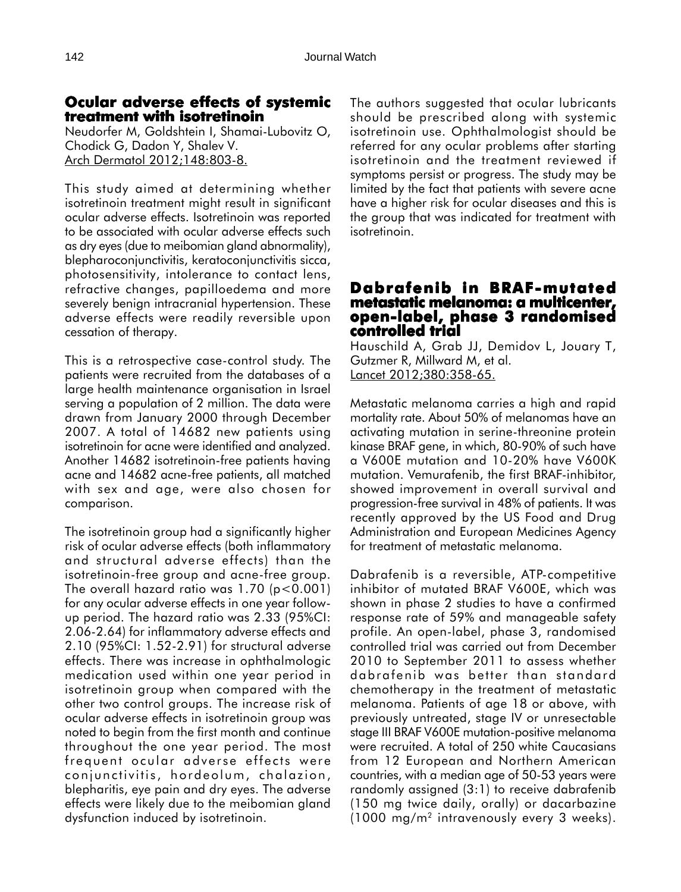## **Ocular adverse effects of systemic treatment with isotretinoin**

Neudorfer M, Goldshtein I, Shamai-Lubovitz O, Chodick G, Dadon Y, Shalev V. Arch Dermatol 2012;148:803-8.

This study aimed at determining whether isotretinoin treatment might result in significant ocular adverse effects. Isotretinoin was reported to be associated with ocular adverse effects such as dry eyes (due to meibomian gland abnormality), blepharoconjunctivitis, keratoconjunctivitis sicca, photosensitivity, intolerance to contact lens, refractive changes, papilloedema and more severely benign intracranial hypertension. These adverse effects were readily reversible upon cessation of therapy.

This is a retrospective case-control study. The patients were recruited from the databases of a large health maintenance organisation in Israel serving a population of 2 million. The data were drawn from January 2000 through December 2007. A total of 14682 new patients using isotretinoin for acne were identified and analyzed. Another 14682 isotretinoin-free patients having acne and 14682 acne-free patients, all matched with sex and age, were also chosen for comparison.

The isotretinoin group had a significantly higher risk of ocular adverse effects (both inflammatory and structural adverse effects) than the isotretinoin-free group and acne-free group. The overall hazard ratio was  $1.70$  (p<0.001) for any ocular adverse effects in one year followup period. The hazard ratio was 2.33 (95%CI: 2.06-2.64) for inflammatory adverse effects and 2.10 (95%CI: 1.52-2.91) for structural adverse effects. There was increase in ophthalmologic medication used within one year period in isotretinoin group when compared with the other two control groups. The increase risk of ocular adverse effects in isotretinoin group was noted to begin from the first month and continue throughout the one year period. The most frequent ocular adverse effects were conjunctivitis, hordeolum, chalazion, blepharitis, eye pain and dry eyes. The adverse effects were likely due to the meibomian gland dysfunction induced by isotretinoin.

The authors suggested that ocular lubricants should be prescribed along with systemic isotretinoin use. Ophthalmologist should be referred for any ocular problems after starting isotretinoin and the treatment reviewed if symptoms persist or progress. The study may be limited by the fact that patients with severe acne have a higher risk for ocular diseases and this is the group that was indicated for treatment with isotretinoin.

#### **Dabrafenib in BRAF-mutated metastatic melanoma: a multicenter, a multicenter, open-label, phase 3 randomised controlled trial**

Hauschild A, Grab JJ, Demidov L, Jouary T, Gutzmer R, Millward M, et al. Lancet 2012;380:358-65.

Metastatic melanoma carries a high and rapid mortality rate. About 50% of melanomas have an activating mutation in serine-threonine protein kinase BRAF gene, in which, 80-90% of such have a V600E mutation and 10-20% have V600K mutation. Vemurafenib, the first BRAF-inhibitor, showed improvement in overall survival and progression-free survival in 48% of patients. It was recently approved by the US Food and Drug Administration and European Medicines Agency for treatment of metastatic melanoma.

Dabrafenib is a reversible, ATP-competitive inhibitor of mutated BRAF V600E, which was shown in phase 2 studies to have a confirmed response rate of 59% and manageable safety profile. An open-label, phase 3, randomised controlled trial was carried out from December 2010 to September 2011 to assess whether dabrafenib was better than standard chemotherapy in the treatment of metastatic melanoma. Patients of age 18 or above, with previously untreated, stage IV or unresectable stage III BRAF V600E mutation-positive melanoma were recruited. A total of 250 white Caucasians from 12 European and Northern American countries, with a median age of 50-53 years were randomly assigned (3:1) to receive dabrafenib (150 mg twice daily, orally) or dacarbazine  $(1000 \text{ mg/m}^2 \text{ intravenously every } 3 \text{ weeks}).$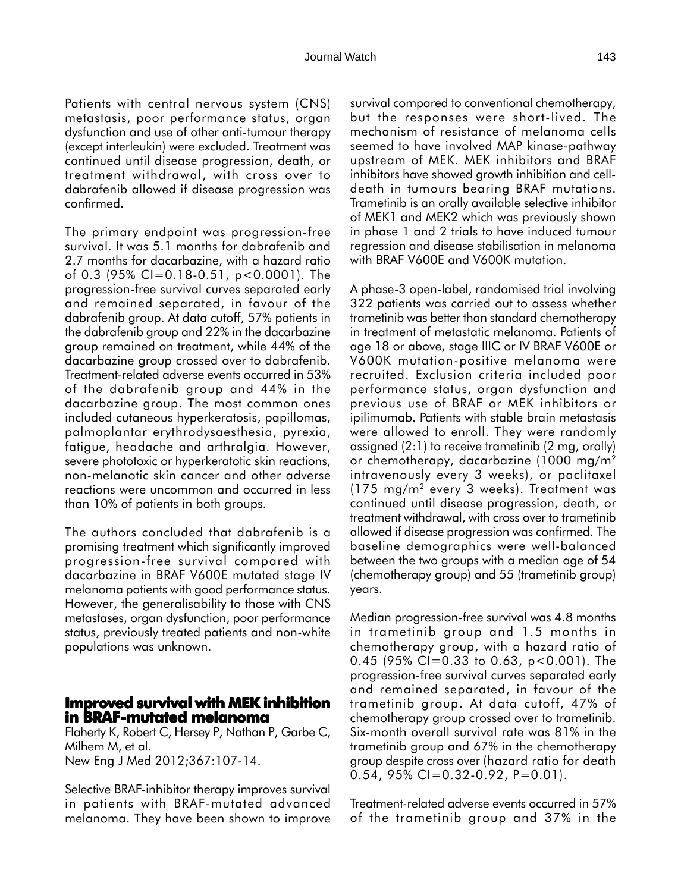Patients with central nervous system (CNS) metastasis, poor performance status, organ dysfunction and use of other anti-tumour therapy (except interleukin) were excluded. Treatment was continued until disease progression, death, or treatment withdrawal, with cross over to dabrafenib allowed if disease progression was confirmed.

The primary endpoint was progression-free survival. It was 5.1 months for dabrafenib and 2.7 months for dacarbazine, with a hazard ratio of 0.3 (95% CI=0.18-0.51, p<0.0001). The progression-free survival curves separated early and remained separated, in favour of the dabrafenib group. At data cutoff, 57% patients in the dabrafenib group and 22% in the dacarbazine group remained on treatment, while 44% of the dacarbazine group crossed over to dabrafenib. Treatment-related adverse events occurred in 53% of the dabrafenib group and 44% in the dacarbazine group. The most common ones included cutaneous hyperkeratosis, papillomas, palmoplantar erythrodysaesthesia, pyrexia, fatigue, headache and arthralgia. However, severe phototoxic or hyperkeratotic skin reactions, non-melanotic skin cancer and other adverse reactions were uncommon and occurred in less than 10% of patients in both groups.

The authors concluded that dabrafenib is a promising treatment which significantly improved progression-free survival compared with dacarbazine in BRAF V600E mutated stage IV melanoma patients with good performance status. However, the generalisability to those with CNS metastases, organ dysfunction, poor performance status, previously treated patients and non-white populations was unknown.

## **Improved survival with MEK inhibition in BRAF-mutated melanoma**

Flaherty K, Robert C, Hersey P, Nathan P, Garbe C, Milhem M, et al. New Eng J Med 2012;367:107-14.

Selective BRAF-inhibitor therapy improves survival in patients with BRAF-mutated advanced melanoma. They have been shown to improve

survival compared to conventional chemotherapy, but the responses were short-lived. The mechanism of resistance of melanoma cells seemed to have involved MAP kinase-pathway upstream of MEK. MEK inhibitors and BRAF inhibitors have showed growth inhibition and celldeath in tumours bearing BRAF mutations. Trametinib is an orally available selective inhibitor of MEK1 and MEK2 which was previously shown in phase 1 and 2 trials to have induced tumour regression and disease stabilisation in melanoma with BRAF V600E and V600K mutation.

A phase-3 open-label, randomised trial involving 322 patients was carried out to assess whether trametinib was better than standard chemotherapy in treatment of metastatic melanoma. Patients of age 18 or above, stage IIIC or IV BRAF V600E or V600K mutation-positive melanoma were recruited. Exclusion criteria included poor performance status, organ dysfunction and previous use of BRAF or MEK inhibitors or ipilimumab. Patients with stable brain metastasis were allowed to enroll. They were randomly assigned (2:1) to receive trametinib (2 mg, orally) or chemotherapy, dacarbazine (1000 mg/m2 intravenously every 3 weeks), or paclitaxel (175 mg/m2 every 3 weeks). Treatment was continued until disease progression, death, or treatment withdrawal, with cross over to trametinib allowed if disease progression was confirmed. The baseline demographics were well-balanced between the two groups with a median age of 54 (chemotherapy group) and 55 (trametinib group) years.

Median progression-free survival was 4.8 months in trametinib group and 1.5 months in chemotherapy group, with a hazard ratio of 0.45 (95% CI=0.33 to 0.63,  $p < 0.001$ ). The progression-free survival curves separated early and remained separated, in favour of the trametinib group. At data cutoff, 47% of chemotherapy group crossed over to trametinib. Six-month overall survival rate was 81% in the trametinib group and 67% in the chemotherapy group despite cross over (hazard ratio for death 0.54, 95% CI=0.32-0.92, P=0.01).

Treatment-related adverse events occurred in 57% of the trametinib group and 37% in the